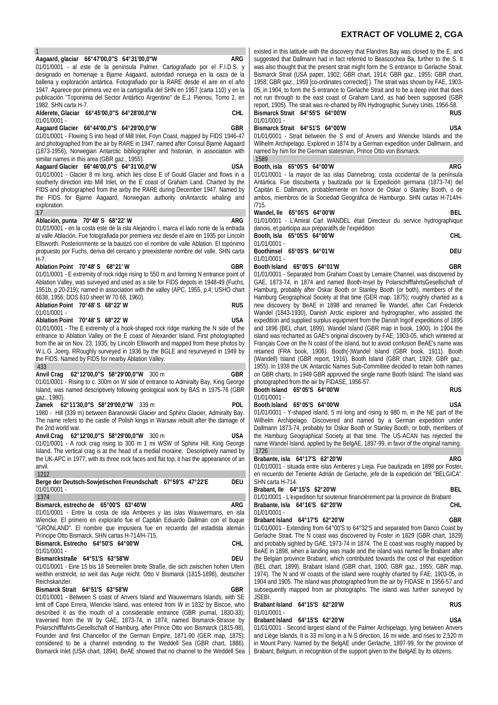## **EXTRACT OF VOLUME 2, CGA**

| $\mathbf{1}$                                                                                                                                             | existed                                                                              |
|----------------------------------------------------------------------------------------------------------------------------------------------------------|--------------------------------------------------------------------------------------|
| Aagaard, glaciar 66°47'00,0"S 64°31'00,0"W<br>ARG                                                                                                        |                                                                                      |
|                                                                                                                                                          | suggest                                                                              |
| 01/01/0001 - al este de la península Palmer. Cartografiado por el F.I.D.S. y                                                                             | was als                                                                              |
| designado en homenaje a Bjarne Aagaard, autoridad noruega en la caza de la                                                                               | Bismard                                                                              |
| ballena y exploración antártica. Fotografiado por la RARE desde el aire en el año                                                                        | 1958; G                                                                              |
| 1947. Aparece por primera vez en la cartografía del SHN en 1957 (carta 110) y en la                                                                      | 05, in 1'                                                                            |
| publicación "Toponimia del Sector Antártico Argentino" de E,J. Pierrou, Tomo 2, en                                                                       | not run                                                                              |
| 1982. SHN carta H-7.                                                                                                                                     | report,                                                                              |
| Alderete, Glaciar 66°45'00,0"S 64°28'00,0"W<br>CHL                                                                                                       | <b>Bismar</b>                                                                        |
| 01/01/0001 -                                                                                                                                             | 01/01/0                                                                              |
| Aagaard Glacier 66°44'00,0"S 64°29'00,0"W<br>GBR                                                                                                         | <b>Bismar</b>                                                                        |
| 01/01/0001 - Flowing S into head of Mill Inlet, Foyn Coast, mapped by FIDS 1946-47                                                                       | 01/01/0                                                                              |
| and photographed from the air by RARE in 1947; named after Consul Bjarne Aagaard                                                                         | Wilhelm                                                                              |
| (1873-1956), Norwegian Antarctic bibliographer and historian, in association with                                                                        | named                                                                                |
| similar names in this area (GBR gaz., 1955).                                                                                                             | 1589                                                                                 |
| Aagaard Glacier 66°46'00,0"S 64°31'00,0"W<br>USA                                                                                                         | Booth,                                                                               |
| 01/01/0001 - Glacier 8 mi long, which lies close E of Gould Glacier and flows in a                                                                       | 01/01/0                                                                              |
| southerly direction into Mill Inlet, on the E coast of Graham Land. Charted by the                                                                       | Antártic                                                                             |
| FIDS and photographed from the airby the RARE during December 1947. Named by                                                                             | Capitán                                                                              |
| the FIDS for Bjarne Aagaard, Norwegian authority onAntarctic whaling and                                                                                 | ambos,                                                                               |
| exploration.                                                                                                                                             | /715.                                                                                |
| 17                                                                                                                                                       | Wandel                                                                               |
| ARG                                                                                                                                                      | 01/01/0                                                                              |
| Ablación, punta 70°48' S 68°22' W<br>01/01/0001 - en la costa este de la isla Alejandro I, marca el lado norte de la entrada                             | danois,                                                                              |
|                                                                                                                                                          |                                                                                      |
| al valle Ablación. Fue fotografiada por premiera vez desde el aire en 1935 por Lincoln                                                                   | Booth,                                                                               |
| Ellsworth. Posteriormente se la bautizó con el nombre de valle Ablation. El topónimo                                                                     | 01/01/0                                                                              |
| propuesto por Fuchs, deriva del cercano y preexistente nombre del valle. SHN carta                                                                       | <b>Boothir</b>                                                                       |
| H-7.                                                                                                                                                     | 01/01/0                                                                              |
| Ablation Point 70°48'S<br>68°21' W<br>GBR                                                                                                                | Booth I                                                                              |
| 01/01/0001 - E extremity of rock ridge rising to 550 m and forming N entrance point of                                                                   | 01/01/0                                                                              |
| Ablation Valley, was surveyed and used as a site for FIDS depots in 1948-49 (Fuchs,                                                                      | GAE, 1                                                                               |
| 1951b, p.20-219); named in association with the valley (APC, 1955, p.4; USHO chart                                                                       | Hambur                                                                               |
| 6638, 1956; DOS 610 sheet W 70 68, 1960).                                                                                                                | Hambur                                                                               |
| Ablation Point 70°48' S 68°22' W<br><b>RUS</b>                                                                                                           | new dis                                                                              |
| 01/01/0001 -                                                                                                                                             | Wandel                                                                               |
| <b>Ablation Point</b><br>70°48'S 68°22'W<br>USA                                                                                                          | expediti                                                                             |
| 01/01/0001 - The E extremity of a hook-shaped rock ridge marking the N side of the                                                                       | and 189                                                                              |
| entrance to Ablation Valley on the E coast of Alexander Island. First photographed                                                                       | island w                                                                             |
| from the air on Nov. 23, 1935, by Lincoln Ellsworth and mapped from these photos by                                                                      | Francai                                                                              |
| W.L.G. Joerg. RRoughly surveyed in 1936 by the BGLE and resurveyed in 1949 by                                                                            | retainec                                                                             |
| the FIDS. Named by FIDS for nearby Ablation Valley.                                                                                                      | (Wande                                                                               |
| 433                                                                                                                                                      | 1955). I                                                                             |
| 62°12'00,0"S 58°29'00,0"W<br>Anvil Crag<br>300 m<br>GBR                                                                                                  | on GBR                                                                               |
| 01/01/0001 - Rising to c. 300m on W side of entrance to Admiralty Bay, King George                                                                       | photogr                                                                              |
| Island, was named descriptively following geological work by BAS in 1975-76 (GBR                                                                         | Booth I                                                                              |
| gaz., 1980).                                                                                                                                             | 01/01/0                                                                              |
| 62°11'30,0"S 58°29'00,0"W<br>POL<br>Zamek<br>339 m                                                                                                       | Booth I                                                                              |
| 1980 - Hill (339 m) between Baranowski Glacier and Sphinx Glacier, Admiralty Bay.                                                                        | 01/01/0                                                                              |
| The name refers to the castle of Polish kings in Warsaw rebuilt after the damage of                                                                      | Wilhelm                                                                              |
| the 2nd world war.                                                                                                                                       | Dallmar                                                                              |
| 62°12'00,0"S 58°29'00,0"W 300 m<br><b>USA</b><br>Anvil Crag                                                                                              | the Har                                                                              |
| 01/01/0001 - A rock crag rising to 300 m 1 mi WSW of Sphinx Hill, King George                                                                            | name W                                                                               |
| Island. The vertical crag is at the head of a medial moraine. Descriptively named by                                                                     | 1726                                                                                 |
| the UK-APC in 1977; with its three rock faces and flat top, it has the appearance of an                                                                  | <b>Braban</b>                                                                        |
| anvil.                                                                                                                                                   | 01/01/0                                                                              |
| 1212                                                                                                                                                     | en recu                                                                              |
| Berge der Deutsch-Sowjetischen Freundschaft 67°59'S 47°22'E<br><b>DEU</b>                                                                                | SHN ca                                                                               |
| $01/01/0001 -$                                                                                                                                           | Braban                                                                               |
| 1374                                                                                                                                                     | 01/01/0                                                                              |
| Bismarck, estrecho de 65°00'S 63°40'W<br>ARG                                                                                                             | Braban                                                                               |
| 01/01/0001 - Entre la costa de isla Amberes y las islas Wauwermans, en isla                                                                              | 01/01/0                                                                              |
| Wiencke. El primero en explorarlo fue el Capitán Eduardo Dallman con el buque                                                                            | Braban                                                                               |
| "GRÖNLAND". El nombre que impusiera fue en recuerdo del estadista alemán                                                                                 | 01/01/0                                                                              |
| Príncipe Otto Bismarck. SHN cartas H-714/H-715.                                                                                                          | Gerlach                                                                              |
| Bismarck, Estrecho 64°50'S 64°00'W<br>CHL                                                                                                                | and pro                                                                              |
|                                                                                                                                                          |                                                                                      |
| 01/01/0001 -                                                                                                                                             |                                                                                      |
| DEU                                                                                                                                                      |                                                                                      |
| Bismarckstraße<br>64°51'S 63°58'W                                                                                                                        |                                                                                      |
| 01/01/0001 - Eine 15 bis 18 Seemeilen breite Straße, die sich zwischen hohen Ufern                                                                       |                                                                                      |
| weithin erstreckt, so weit das Auge reicht. Otto V Bismarck (1815-1898), deutscher                                                                       |                                                                                      |
| Reichskanzler.<br>GBR                                                                                                                                    |                                                                                      |
| Bismarck Strait 64°51'S 63°58'W                                                                                                                          |                                                                                      |
| 01/01/0001 - Between S coast of Anvers Island and Wauwermans Islands, with SE                                                                            | BeAE ir<br>the Bek<br>(BEL ch<br>$1974$ ).<br>1904 ar<br>subseqı<br>JSEBI.<br>Braban |
| limit off Cape Errera, Wiencke Island, was entered from W in 1832 by Biscoe, who                                                                         | 01/01/0                                                                              |
| described it as the mouth of a considerable entrance (GBR journal, 1830-33);<br>traversed from the W by GAE, 1873-74, in 1874; named Bismarck-Strasse by | Braban                                                                               |

Polarschifffahrts-Gesellschaft of Hamburg, after Prince Otto von Bismarck (1815-98), Founder and first Chancellor of the German Empire, 1871-90 (GER map, 1875); considered to be a channel extending to the Weddell Sea (GBR chart, 1886). Bismarck Inlet (USA chart, 1894). BeAE showed that no channel to the Weddell Sea

in this latitude with the discovery that Flandres Bay was closed to the E, and ted that Dallmann had in fact referred to Beascochea Ba, further to the S. It so thought that the present strait might form the S entrance to Gerlache Strait. ck Strait (USA paper, 1902; GBR chart, 1914; GBR gaz., 1955; GBR chart, 1958; GBR gaz., 1959 [co-ordinates corrected] ). The strait was shown by FAE, 1903- 904, to form the S entrance to Gerlache Strait and to be a deep inlet that does through to the east coast of Graham Land, as had been supposed (GBR 1905). The strait was re-charted by RN Hydrographic Survey Units, 1956-58. **Bismarck Strait 64°55'S 64°00'W RUS**  $001 -$ **Bismarck Strait 64°51'S 64°00'W USA**

001 - Strait between the S end of Anvers and Wiencke Islands and the Archipelago. Explored in 1874 by a German expedition under Dallmann, and by him for the German statesman, Prince Otto von Bismarck.

| --------                    |                                                                                |  |  |     |
|-----------------------------|--------------------------------------------------------------------------------|--|--|-----|
| Booth, isla 65°05'S 64°00'W |                                                                                |  |  | ARG |
|                             | 01/01/0001 - la mayor de las islas Dannebrog, costa occidental de la península |  |  |     |

sta occidental de la península a. Fue discubierta y bautizada por la Expedición germana (1873-74) del E. Dallmann, probablemente en honor de Oskar o Stanley Booth, o de miembros de la Sociedad Geográfica de Hamburgo. SHN cartas H-714/H-

| Wandel, lle $65^{\circ}05^{\prime}$ S $64^{\circ}00^{\prime}W$ |  |  |  | BEL                                                                         |
|----------------------------------------------------------------|--|--|--|-----------------------------------------------------------------------------|
|                                                                |  |  |  | 01/01/0001 - L'Amiral Carl WANDEL était Directeur du service hydrographique |

|                                                      | Erman can marbee can baccom as cornecting equipment |  |      |
|------------------------------------------------------|-----------------------------------------------------|--|------|
| danois, et participa aux préparatifs de l'expédition |                                                     |  |      |
| Booth, Isla 65°05'S 64°00'W                          |                                                     |  | CHI. |
| $01/01/0001 -$                                       |                                                     |  |      |
| Boothinsel 65°05'S 64°01'W                           |                                                     |  | DEU  |
| $01/01/0001 -$                                       |                                                     |  |      |
|                                                      |                                                     |  |      |

**Booth Island 65°05'S 64°01'W GBR** 001 - Separated from Graham Coast by Lemaire Channel, was discovered by 873-74, in 1874 and named Booth-Insel by PolarschifffahrtsGesellschaft of rg, probably after Oskar Booth or Stanley Booth (or both), members of the rg Geographical Society at that time (GER map, 1875); roughly charted as a scovery by BeAE in 1898 and renamed Île Wandel, after Carl Frederick (1843-1930), Danish Arctic explorer and hydrographer, who assisted the ion and supplied surplus equipment from the Danish Ingolf expeditions of 1895 96 (BEL chart, 1899). Wandel Island (GBR map in book, 1900). In 1904 the vas recharted as GAE's original discovery by FAE, 1903-05, which wintered at s Cove on the N coast of the island, but to avoid confusion BeAE's name was (FRA book, 1906). Booth(-)Wandel Island (GBR book, 1911). Booth ell) Island (GBR report, 1916). Booth Island (GBR chart, 1929; GBR gaz., 1955). In 1938 the UK Antarctic Names Sub-Committee decided to retain both names charts. In 1949 GBR approved the single name Booth Island. The island was aphed from the air by FIDASE, 1956-57. **Booth Island 65°05'S 64°00'W RUS**

# $001 -$

**Booth Island 65°05'S 64°00'W USA** 001 - Y-shaped island, 5 mi long and rising to 980 m, in the NE part of the Archipelago. Discovered and named by a German expedition under nn 1873-74, probably for Oskar Booth or Stanley Booth, or both, members of mburg Geographical Society at that time. The US-ACAN has rejected the Vandel Island, applied by the BelgAE, 1897-99, in favor of the original naming.

**Brabante, isla 64°17'S 62°20'W ARG** 001 - situada entre islas Amberes y Lieja. Fue bautizada en 1898 por Foster, erdo del Teniente Adrián de Gerlache, jefe de la expedición del "BELGICA".  $n$ rta H-714.

**Brabant, Ile 64°15'S 62°20'W BEL** 001 - L'expedition fut soutenue financièrement par la province de Brabant<br>te Isla 64°16'S 62°20'W **Brabante, Isla 64°16'S 62°20'W CHL**  $001 -$ 

## **Brabant Island 64°17'S 62°20'W GBR**

001 - Extending from 64°00'S to 64°32'S and separated from Danco Coast by e Strait. The N coast was discovered by Foster in 1829 (GBR chart, 1829) bably sighted by GAE, 1973-74 in 1874. The E coast was roughly mapped by n 1898, when a landing was made and the island was named Île Brabant after gian province Brabant, which contributed towards the cost of that expedition hart, 1899). Brabant Island (GBR chart, 1900; GBR gaz., 1955; GBR map, The N and W coasts of the island were roughly charted by FAE, 1903-05, in 1905. The island was photographed from the air by FIDASE in 1956-57 and uently mapped from air photographs. The island was further surveyed by

| Brabant Island 64°15'S 62°20'W |  | <b>RUS</b> |
|--------------------------------|--|------------|
| 01/01/0001 -                   |  |            |

## **Brabant Island 64°15'S 62°20'W USA**

001 - Second largest island of the Palmer Archipelago, lying between Anvers and Liège Islands. It is 33 mi long in a N-S direction, 16 mi wide, and rises to 2,520 m in Mount Parry. Named by the BelgAE under Gerlache, 1897-99, for the province of Brabant, Belgium, in recognition of the support given to the BelgAE by its citizens.